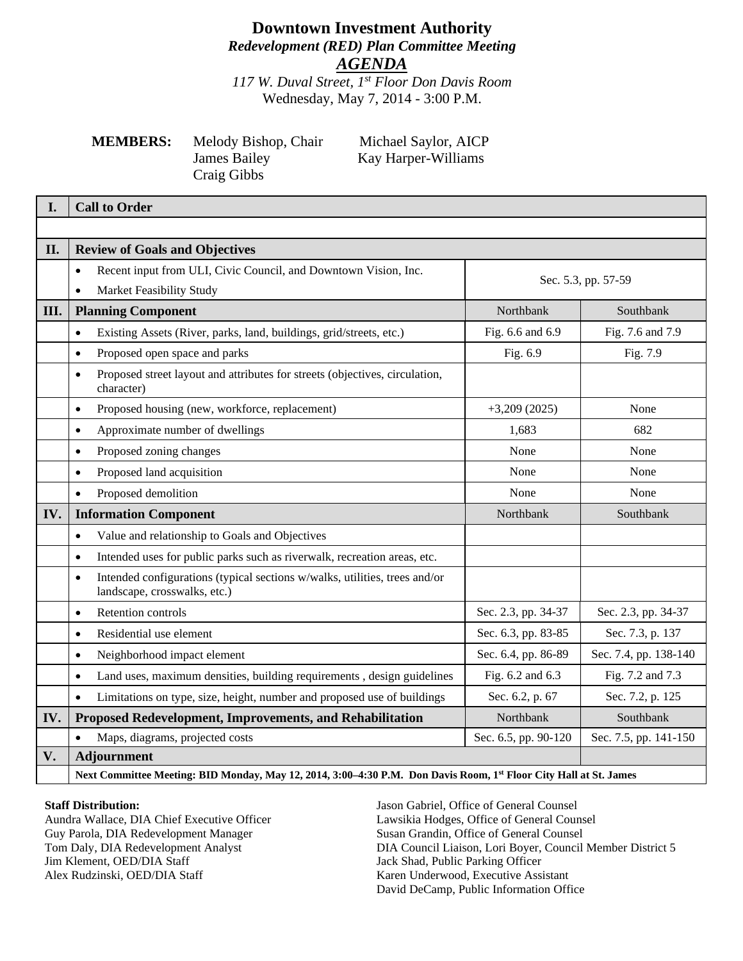## **Downtown Investment Authority** *Redevelopment (RED) Plan Committee Meeting AGENDA*

*117 W. Duval Street, 1st Floor Don Davis Room* Wednesday, May 7, 2014 - 3:00 P.M.

# **MEMBERS:** Melody Bishop, Chair Michael Saylor, AICP Craig Gibbs

James Bailey Kay Harper-Williams

| I.   | <b>Call to Order</b>                                                                                                    |                      |                       |  |
|------|-------------------------------------------------------------------------------------------------------------------------|----------------------|-----------------------|--|
|      |                                                                                                                         |                      |                       |  |
| II.  | <b>Review of Goals and Objectives</b>                                                                                   |                      |                       |  |
|      | Recent input from ULI, Civic Council, and Downtown Vision, Inc.<br>$\bullet$                                            |                      |                       |  |
|      | Market Feasibility Study<br>$\bullet$                                                                                   | Sec. 5.3, pp. 57-59  |                       |  |
| III. | <b>Planning Component</b>                                                                                               | Northbank            | Southbank             |  |
|      | Existing Assets (River, parks, land, buildings, grid/streets, etc.)<br>$\bullet$                                        | Fig. 6.6 and 6.9     | Fig. 7.6 and 7.9      |  |
|      | Proposed open space and parks<br>$\bullet$                                                                              | Fig. 6.9             | Fig. 7.9              |  |
|      | Proposed street layout and attributes for streets (objectives, circulation,<br>$\bullet$<br>character)                  |                      |                       |  |
|      | Proposed housing (new, workforce, replacement)<br>$\bullet$                                                             | $+3,209(2025)$       | None                  |  |
|      | Approximate number of dwellings<br>$\bullet$                                                                            | 1,683                | 682                   |  |
|      | Proposed zoning changes<br>$\bullet$                                                                                    | None                 | None                  |  |
|      | Proposed land acquisition<br>$\bullet$                                                                                  | None                 | None                  |  |
|      | Proposed demolition<br>$\bullet$                                                                                        | None                 | None                  |  |
| IV.  | <b>Information Component</b>                                                                                            | Northbank            | Southbank             |  |
|      | Value and relationship to Goals and Objectives<br>$\bullet$                                                             |                      |                       |  |
|      | Intended uses for public parks such as riverwalk, recreation areas, etc.<br>$\bullet$                                   |                      |                       |  |
|      | Intended configurations (typical sections w/walks, utilities, trees and/or<br>$\bullet$<br>landscape, crosswalks, etc.) |                      |                       |  |
|      | Retention controls<br>$\bullet$                                                                                         | Sec. 2.3, pp. 34-37  | Sec. 2.3, pp. 34-37   |  |
|      | Residential use element<br>$\bullet$                                                                                    | Sec. 6.3, pp. 83-85  | Sec. 7.3, p. 137      |  |
|      | Neighborhood impact element<br>$\bullet$                                                                                | Sec. 6.4, pp. 86-89  | Sec. 7.4, pp. 138-140 |  |
|      | Land uses, maximum densities, building requirements, design guidelines<br>$\bullet$                                     | Fig. 6.2 and 6.3     | Fig. 7.2 and 7.3      |  |
|      | Limitations on type, size, height, number and proposed use of buildings<br>$\bullet$                                    | Sec. 6.2, p. 67      | Sec. 7.2, p. 125      |  |
| IV.  | Proposed Redevelopment, Improvements, and Rehabilitation                                                                | Northbank            | Southbank             |  |
|      | Maps, diagrams, projected costs<br>$\bullet$                                                                            | Sec. 6.5, pp. 90-120 | Sec. 7.5, pp. 141-150 |  |
| V.   | <b>Adjournment</b>                                                                                                      |                      |                       |  |
|      | Next Committee Meeting: BID Monday, May 12, 2014, 3:00-4:30 P.M. Don Davis Room, 1st Floor City Hall at St. James       |                      |                       |  |

#### **Staff Distribution:**

Aundra Wallace, DIA Chief Executive Officer Guy Parola, DIA Redevelopment Manager Tom Daly, DIA Redevelopment Analyst Jim Klement, OED/DIA Staff Alex Rudzinski, OED/DIA Staff

Jason Gabriel, Office of General Counsel Lawsikia Hodges, Office of General Counsel Susan Grandin, Office of General Counsel DIA Council Liaison, Lori Boyer, Council Member District 5 Jack Shad, Public Parking Officer Karen Underwood, Executive Assistant David DeCamp, Public Information Office